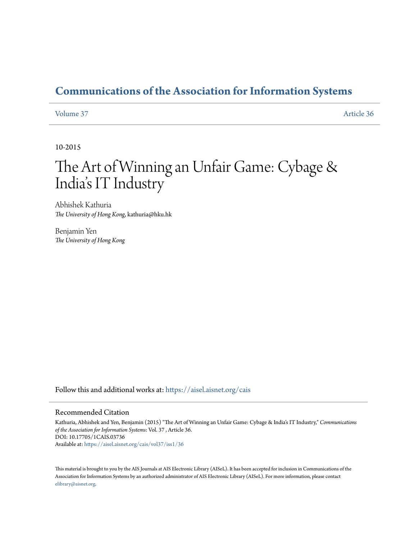# **[Communications of the Association for Information Systems](https://aisel.aisnet.org/cais?utm_source=aisel.aisnet.org%2Fcais%2Fvol37%2Fiss1%2F36&utm_medium=PDF&utm_campaign=PDFCoverPages)**

#### [Volume 37](https://aisel.aisnet.org/cais/vol37?utm_source=aisel.aisnet.org%2Fcais%2Fvol37%2Fiss1%2F36&utm_medium=PDF&utm_campaign=PDFCoverPages) [Article 36](https://aisel.aisnet.org/cais/vol37/iss1/36?utm_source=aisel.aisnet.org%2Fcais%2Fvol37%2Fiss1%2F36&utm_medium=PDF&utm_campaign=PDFCoverPages)

10-2015

# The Art of Winning an Unfair Game: Cybage & India 's IT Industry

Abhishek Kathuria *The University of Hong Kong*, kathuria@hku.hk

Benjamin Yen *The University of Hong Kong*

Follow this and additional works at: [https://aisel.aisnet.org/cais](https://aisel.aisnet.org/cais?utm_source=aisel.aisnet.org%2Fcais%2Fvol37%2Fiss1%2F36&utm_medium=PDF&utm_campaign=PDFCoverPages)

#### Recommended Citation

Kathuria, Abhishek and Yen, Benjamin (2015) "The Art of Winning an Unfair Game: Cybage & India's IT Industry," *Communications of the Association for Information Systems*: Vol. 37 , Article 36. DOI: 10.17705/1CAIS.03736 Available at: [https://aisel.aisnet.org/cais/vol37/iss1/36](https://aisel.aisnet.org/cais/vol37/iss1/36?utm_source=aisel.aisnet.org%2Fcais%2Fvol37%2Fiss1%2F36&utm_medium=PDF&utm_campaign=PDFCoverPages)

This material is brought to you by the AIS Journals at AIS Electronic Library (AISeL). It has been accepted for inclusion in Communications of the Association for Information Systems by an authorized administrator of AIS Electronic Library (AISeL). For more information, please contact [elibrary@aisnet.org.](mailto:elibrary@aisnet.org%3E)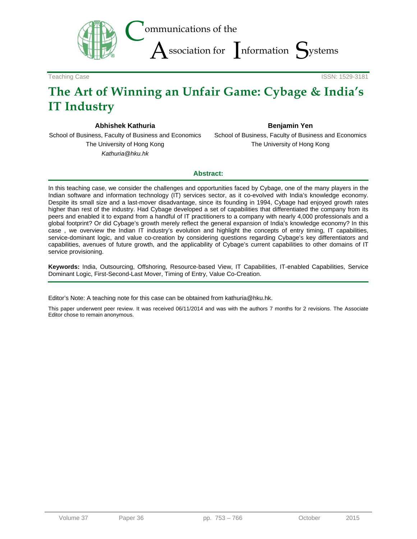

**Teaching Case** ISSN: 1529-3181

# **The Art of Winning an Unfair Game: Cybage & India's IT Industry**

**Abhishek Kathuria** 

School of Business, Faculty of Business and Economics The University of Hong Kong *Kathuria@hku.hk* 

 **Benjamin Yen**  School of Business, Faculty of Business and Economics The University of Hong Kong

#### **Abstract:**

In this teaching case, we consider the challenges and opportunities faced by Cybage, one of the many players in the Indian software and information technology (IT) services sector, as it co-evolved with India's knowledge economy. Despite its small size and a last-mover disadvantage, since its founding in 1994, Cybage had enjoyed growth rates higher than rest of the industry. Had Cybage developed a set of capabilities that differentiated the company from its peers and enabled it to expand from a handful of IT practitioners to a company with nearly 4,000 professionals and a global footprint? Or did Cybage's growth merely reflect the general expansion of India's knowledge economy? In this case , we overview the Indian IT industry's evolution and highlight the concepts of entry timing, IT capabilities, service-dominant logic, and value co-creation by considering questions regarding Cybage's key differentiators and capabilities, avenues of future growth, and the applicability of Cybage's current capabilities to other domains of IT service provisioning.

**Keywords:** India, Outsourcing, Offshoring, Resource-based View, IT Capabilities, IT-enabled Capabilities, Service Dominant Logic, First-Second-Last Mover, Timing of Entry, Value Co-Creation.

Editor's Note: A teaching note for this case can be obtained from kathuria@hku.hk.

This paper underwent peer review. It was received 06/11/2014 and was with the authors 7 months for 2 revisions. The Associate Editor chose to remain anonymous.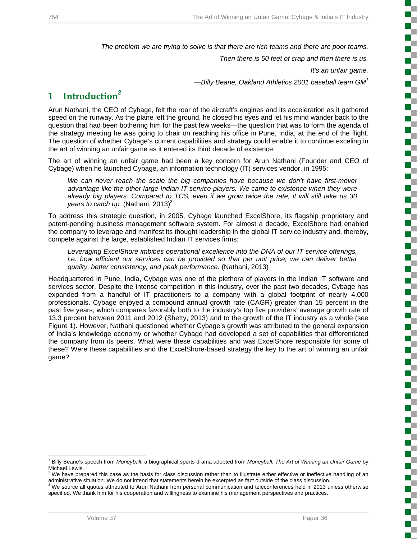*The problem we are trying to solve is that there are rich teams and there are poor teams.* 

*Then there is 50 feet of crap and then there is us.* 

*It's an unfair game.* 

l

l

 $-$ Billy Beane, Oakland Athletics 2001 baseball team GM<sup>1</sup>

# **1 Introduction<sup>2</sup>**

Arun Nathani, the CEO of Cybage, felt the roar of the aircraft's engines and its acceleration as it gathered speed on the runway. As the plane left the ground, he closed his eyes and let his mind wander back to the question that had been bothering him for the past few weeks—the question that was to form the agenda of the strategy meeting he was going to chair on reaching his office in Pune, India, at the end of the flight. The question of whether Cybage's current capabilities and strategy could enable it to continue exceling in the art of winning an unfair game as it entered its third decade of existence.

The art of winning an unfair game had been a key concern for Arun Nathani (Founder and CEO of Cybage) when he launched Cybage, an information technology (IT) services vendor, in 1995:

We can never reach the scale the big companies have because we don't have first-mover *advantage like the other large Indian IT service players. We came to existence when they were already big players. Compared to TCS, even if we grow twice the rate, it will still take us 30 years to catch up.* (Nathani, 2013)<sup>3</sup>

To address this strategic question, in 2005, Cybage launched ExcelShore, its flagship proprietary and patent-pending business management software system. For almost a decade, ExcelShore had enabled the company to leverage and manifest its thought leadership in the global IT service industry and, thereby, compete against the large, established Indian IT services firms:

*Leveraging ExcelShore imbibes operational excellence into the DNA of our IT service offerings, i.e. how efficient our services can be provided so that per unit price, we can deliver better quality, better consistency, and peak performance.* (Nathani, 2013)

Headquartered in Pune, India, Cybage was one of the plethora of players in the Indian IT software and services sector. Despite the intense competition in this industry, over the past two decades, Cybage has expanded from a handful of IT practitioners to a company with a global footprint of nearly 4,000 professionals. Cybage enjoyed a compound annual growth rate (CAGR) greater than 15 percent in the past five years, which compares favorably both to the industry's top five providers' average growth rate of 13.3 percent between 2011 and 2012 (Shetty, 2013) and to the growth of the IT industry as a whole (see Figure 1). However, Nathani questioned whether Cybage's growth was attributed to the general expansion of India's knowledge economy or whether Cybage had developed a set of capabilities that differentiated the company from its peers. What were these capabilities and was ExcelShore responsible for some of these? Were these capabilities and the ExcelShore-based strategy the key to the art of winning an unfair game?

l 1 Billy Beane's speech from *Moneyball*, a biographical sports drama adopted from *Moneyball: The Art of Winning an Unfair Game* by Michael Lewis.

<sup>2</sup> We have prepared this case as the basis for class discussion rather than to illustrate either effective or ineffective handling of an administrative situation. We do not intend that statements herein be excerpted as fact outside of the class discussion.

We source all quotes attributed to Arun Nathani from personal communication and teleconferences held in 2013 unless otherwise specified. We thank him for his cooperation and willingness to examine his management perspectives and practices.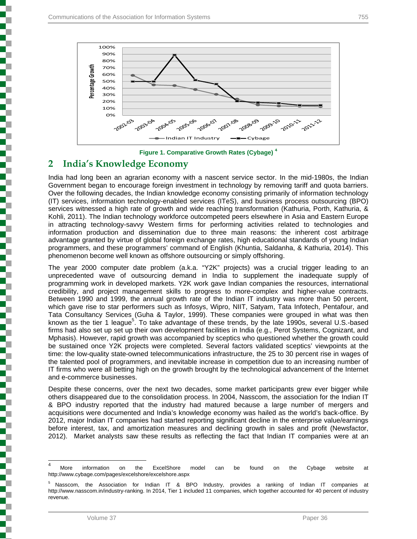

**Figure 1. Comparative Growth Rates (Cybage) <sup>4</sup>**

# **2 India's Knowledge Economy**

India had long been an agrarian economy with a nascent service sector. In the mid-1980s, the Indian Government began to encourage foreign investment in technology by removing tariff and quota barriers. Over the following decades, the Indian knowledge economy consisting primarily of information technology (IT) services, information technology-enabled services (ITeS), and business process outsourcing (BPO) services witnessed a high rate of growth and wide reaching transformation (Kathuria, Porth, Kathuria, & Kohli, 2011). The Indian technology workforce outcompeted peers elsewhere in Asia and Eastern Europe in attracting technology-savvy Western firms for performing activities related to technologies and information production and dissemination due to three main reasons: the inherent cost arbitrage advantage granted by virtue of global foreign exchange rates, high educational standards of young Indian programmers, and these programmers' command of English (Khuntia, Saldanha, & Kathuria, 2014). This phenomenon become well known as offshore outsourcing or simply offshoring.

The year 2000 computer date problem (a.k.a. "Y2K" projects) was a crucial trigger leading to an unprecedented wave of outsourcing demand in India to supplement the inadequate supply of programming work in developed markets. Y2K work gave Indian companies the resources, international credibility, and project management skills to progress to more-complex and higher-value contracts. Between 1990 and 1999, the annual growth rate of the Indian IT industry was more than 50 percent, which gave rise to star performers such as Infosys, Wipro, NIIT, Satyam, Tata Infotech, Pentafour, and Tata Consultancy Services (Guha & Taylor, 1999). These companies were grouped in what was then known as the tier 1 league<sup>5</sup>. To take advantage of these trends, by the late 1990s, several U.S.-based firms had also set up set up their own development facilities in India (e.g., Perot Systems, Cognizant, and Mphasis). However, rapid growth was accompanied by sceptics who questioned whether the growth could be sustained once Y2K projects were completed. Several factors validated sceptics' viewpoints at the time: the low-quality state-owned telecommunications infrastructure, the 25 to 30 percent rise in wages of the talented pool of programmers, and inevitable increase in competition due to an increasing number of IT firms who were all betting high on the growth brought by the technological advancement of the Internet and e-commerce businesses.

Despite these concerns, over the next two decades, some market participants grew ever bigger while others disappeared due to the consolidation process. In 2004, Nasscom, the association for the Indian IT & BPO industry reported that the industry had matured because a large number of mergers and acquisitions were documented and India's knowledge economy was hailed as the world's back-office. By 2012, major Indian IT companies had started reporting significant decline in the enterprise value/earnings before interest, tax, and amortization measures and declining growth in sales and profit (Newsfactor, 2012). Market analysts saw these results as reflecting the fact that Indian IT companies were at an

l

 $4$  More information on the ExcelShore model can be found on the Cybage website at http://www.cybage.com/pages/excelshore/excelshore.aspx

<sup>&</sup>lt;sup>5</sup> Nasscom, the Association for Indian IT & BPO Industry, provides a ranking of Indian IT companies at http://www.nasscom.in/industry-ranking. In 2014, Tier 1 included 11 companies, which together accounted for 40 percent of industry revenue.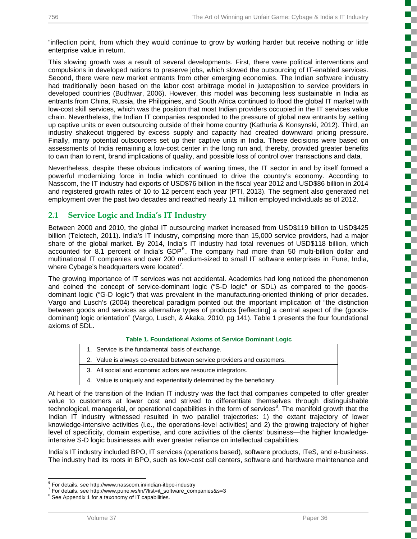E.

ā

ĺ

Ì

T 2

į

ì

į

ı

Ŝ

r.

į

"inflection point, from which they would continue to grow by working harder but receive nothing or little enterprise value in return.

This slowing growth was a result of several developments. First, there were political interventions and compulsions in developed nations to preserve jobs, which slowed the outsourcing of IT-enabled services. Second, there were new market entrants from other emerging economies. The Indian software industry had traditionally been based on the labor cost arbitrage model in juxtaposition to service providers in developed countries (Budhwar, 2006). However, this model was becoming less sustainable in India as entrants from China, Russia, the Philippines, and South Africa continued to flood the global IT market with low-cost skill services, which was the position that most Indian providers occupied in the IT services value chain. Nevertheless, the Indian IT companies responded to the pressure of global new entrants by setting up captive units or even outsourcing outside of their home country (Kathuria & Konsynski, 2012). Third, an industry shakeout triggered by excess supply and capacity had created downward pricing pressure. Finally, many potential outsourcers set up their captive units in India. These decisions were based on assessments of India remaining a low-cost center in the long run and, thereby, provided greater benefits to own than to rent, brand implications of quality, and possible loss of control over transactions and data.

Nevertheless, despite these obvious indicators of waning times, the IT sector in and by itself formed a powerful modernizing force in India which continued to drive the country's economy. According to Nasscom, the IT industry had exports of USD\$76 billion in the fiscal year 2012 and USD\$86 billion in 2014 and registered growth rates of 10 to 12 percent each year (PTI, 2013). The segment also generated net employment over the past two decades and reached nearly 11 million employed individuals as of 2012.

## **2.1 Service Logic and India's IT Industry**

Between 2000 and 2010, the global IT outsourcing market increased from USD\$119 billion to USD\$425 billion (Teletech, 2011). India's IT industry, comprising more than 15,000 service providers, had a major share of the global market. By 2014, India's IT industry had total revenues of USD\$118 billion, which accounted for 8.1 percent of India's GDP<sup>6</sup>. The company had more than 50 multi-billion dollar and multinational IT companies and over 200 medium-sized to small IT software enterprises in Pune, India, where Cybage's headquarters were located<sup>7</sup>.

The growing importance of IT services was not accidental. Academics had long noticed the phenomenon and coined the concept of service-dominant logic ("S-D logic" or SDL) as compared to the goodsdominant logic ("G-D logic") that was prevalent in the manufacturing-oriented thinking of prior decades. Vargo and Lusch's (2004) theoretical paradigm pointed out the important implication of "the distinction between goods and services as alternative types of products [reflecting] a central aspect of the (goodsdominant) logic orientation" (Vargo, Lusch, & Akaka, 2010; pg 141). Table 1 presents the four foundational axioms of SDL.

#### **Table 1. Foundational Axioms of Service Dominant Logic**

- 1. Service is the fundamental basis of exchange.
- 2. Value is always co-created between service providers and customers.
- 3. All social and economic actors are resource integrators.
- 4. Value is uniquely and experientially determined by the beneficiary.

At heart of the transition of the Indian IT industry was the fact that companies competed to offer greater value to customers at lower cost and strived to differentiate themselves through distinguishable technological, managerial, or operational capabilities in the form of services<sup>8</sup>. The manifold growth that the Indian IT industry witnessed resulted in two parallel trajectories: 1) the extant trajectory of lower knowledge-intensive activities (i.e., the operations-level activities) and 2) the growing trajectory of higher level of specificity, domain expertise, and core activities of the clients' business—the higher knowledgeintensive S-D logic businesses with ever greater reliance on intellectual capabilities.

India's IT industry included BPO, IT services (operations based), software products, ITeS, and e-business. The industry had its roots in BPO, such as low-cost call centers, software and hardware maintenance and

l <sup>6</sup> For details, see http://www.nasscom.in/indian-itbpo-industry<br><sup>7</sup> For details, see http://www.pupe.we/in/?list=it\_seftwere\_com

For details, see http://www.pune.ws/in/?list=it\_software\_companies&s=3 8

 $8$  See Appendix 1 for a taxonomy of IT capabilities.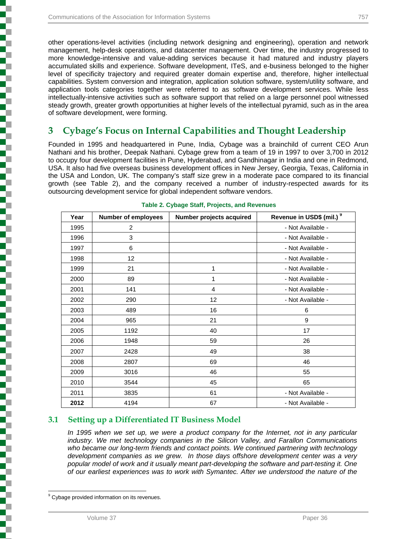other operations-level activities (including network designing and engineering), operation and network management, help-desk operations, and datacenter management. Over time, the industry progressed to more knowledge-intensive and value-adding services because it had matured and industry players accumulated skills and experience. Software development, ITeS, and e-business belonged to the higher level of specificity trajectory and required greater domain expertise and, therefore, higher intellectual capabilities. System conversion and integration, application solution software, system/utility software, and application tools categories together were referred to as software development services. While less intellectually-intensive activities such as software support that relied on a large personnel pool witnessed steady growth, greater growth opportunities at higher levels of the intellectual pyramid, such as in the area of software development, were forming.

# **3 Cybage's Focus on Internal Capabilities and Thought Leadership**

Founded in 1995 and headquartered in Pune, India, Cybage was a brainchild of current CEO Arun Nathani and his brother, Deepak Nathani. Cybage grew from a team of 19 in 1997 to over 3,700 in 2012 to occupy four development facilities in Pune, Hyderabad, and Gandhinagar in India and one in Redmond, USA. It also had five overseas business development offices in New Jersey, Georgia, Texas, California in the USA and London, UK. The company's staff size grew in a moderate pace compared to its financial growth (see Table 2), and the company received a number of industry-respected awards for its outsourcing development service for global independent software vendors.

| Year | <b>Number of employees</b> | Number projects acquired | Revenue in USD\$ (mil.) <sup>9</sup> |
|------|----------------------------|--------------------------|--------------------------------------|
| 1995 | $\overline{2}$             |                          | - Not Available -                    |
| 1996 | 3                          |                          | - Not Available -                    |
| 1997 | 6                          |                          | - Not Available -                    |
| 1998 | 12                         |                          | - Not Available -                    |
| 1999 | 21                         | 1                        | - Not Available -                    |
| 2000 | 89                         | 1                        | - Not Available -                    |
| 2001 | 141                        | 4                        | - Not Available -                    |
| 2002 | 290                        | 12                       | - Not Available -                    |
| 2003 | 489                        | 16                       | 6                                    |
| 2004 | 965                        | 21                       | 9                                    |
| 2005 | 1192                       | 40                       | 17                                   |
| 2006 | 1948                       | 59                       | 26                                   |
| 2007 | 2428                       | 49                       | 38                                   |
| 2008 | 2807                       | 69                       | 46                                   |
| 2009 | 3016                       | 46                       | 55                                   |
| 2010 | 3544                       | 45                       | 65                                   |
| 2011 | 3835                       | 61                       | - Not Available -                    |
| 2012 | 4194                       | 67                       | - Not Available -                    |

#### **Table 2. Cybage Staff, Projects, and Revenues**

## **3.1 Setting up a Differentiated IT Business Model**

In 1995 when we set up, we were a product company for the Internet, not in any particular *industry. We met technology companies in the Silicon Valley, and Farallon Communications who became our long-term friends and contact points. We continued partnering with technology development companies as we grew. In those days offshore development center was a very popular model of work and it usually meant part-developing the software and part-testing it. One of our earliest experiences was to work with Symantec. After we understood the nature of the* 

l <sup>9</sup> Cybage provided information on its revenues.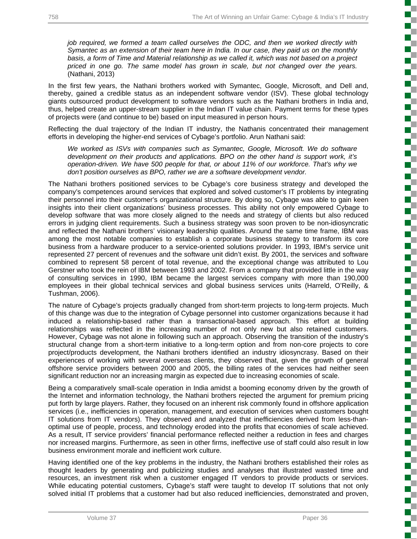5 ç

į

ì

T.

T

s

٣Ē. r.

j

t

ç

*job required, we formed a team called ourselves the ODC, and then we worked directly with Symantec as an extension of their team here in India. In our case, they paid us on the monthly basis, a form of Time and Material relationship as we called it, which was not based on a project priced in one go. The same model has grown in scale, but not changed over the years.*  (Nathani, 2013)

In the first few years, the Nathani brothers worked with Symantec, Google, Microsoft, and Dell and, thereby, gained a credible status as an independent software vendor (ISV). These global technology giants outsourced product development to software vendors such as the Nathani brothers in India and, thus, helped create an upper-stream supplier in the Indian IT value chain. Payment terms for these types of projects were (and continue to be) based on input measured in person hours.

Reflecting the dual trajectory of the Indian IT industry, the Nathanis concentrated their management efforts in developing the higher-end services of Cybage's portfolio. Arun Nathani said:

*We worked as ISVs with companies such as Symantec, Google, Microsoft. We do software development on their products and applications. BPO on the other hand is support work, it's operation-driven. We have 500 people for that, or about 11% of our workforce. That's why we don't position ourselves as BPO, rather we are a software development vendor.* 

The Nathani brothers positioned services to be Cybage's core business strategy and developed the company's competences around services that explored and solved customer's IT problems by integrating their personnel into their customer's organizational structure. By doing so, Cybage was able to gain keen insights into their client organizations' business processes. This ability not only empowered Cybage to develop software that was more closely aligned to the needs and strategy of clients but also reduced errors in judging client requirements. Such a business strategy was soon proven to be non-idiosyncratic and reflected the Nathani brothers' visionary leadership qualities. Around the same time frame, IBM was among the most notable companies to establish a corporate business strategy to transform its core business from a hardware producer to a service-oriented solutions provider. In 1993, IBM's service unit represented 27 percent of revenues and the software unit didn't exist. By 2001, the services and software combined to represent 58 percent of total revenue, and the exceptional change was attributed to Lou Gerstner who took the rein of IBM between 1993 and 2002. From a company that provided little in the way of consulting services in 1990, IBM became the largest services company with more than 190,000 employees in their global technical services and global business services units (Harreld, O'Reilly, & Tushman, 2006).

The nature of Cybage's projects gradually changed from short-term projects to long-term projects. Much of this change was due to the integration of Cybage personnel into customer organizations because it had induced a relationship-based rather than a transactional-based approach. This effort at building relationships was reflected in the increasing number of not only new but also retained customers. However, Cybage was not alone in following such an approach. Observing the transition of the industry's structural change from a short-term initiative to a long-term option and from non-core projects to core project/products development, the Nathani brothers identified an industry idiosyncrasy. Based on their experiences of working with several overseas clients, they observed that, given the growth of general offshore service providers between 2000 and 2005, the billing rates of the services had neither seen significant reduction nor an increasing margin as expected due to increasing economies of scale.

Being a comparatively small-scale operation in India amidst a booming economy driven by the growth of the Internet and information technology, the Nathani brothers rejected the argument for premium pricing put forth by large players. Rather, they focused on an inherent risk commonly found in offshore application services (i.e., inefficiencies in operation, management, and execution of services when customers bought IT solutions from IT vendors). They observed and analyzed that inefficiencies derived from less-thanoptimal use of people, process, and technology eroded into the profits that economies of scale achieved. As a result, IT service providers' financial performance reflected neither a reduction in fees and charges nor increased margins. Furthermore, as seen in other firms, ineffective use of staff could also result in low business environment morale and inefficient work culture.

Having identified one of the key problems in the industry, the Nathani brothers established their roles as thought leaders by generating and publicizing studies and analyses that illustrated wasted time and resources, an investment risk when a customer engaged IT vendors to provide products or services. While educating potential customers, Cybage's staff were taught to develop IT solutions that not only solved initial IT problems that a customer had but also reduced inefficiencies, demonstrated and proven,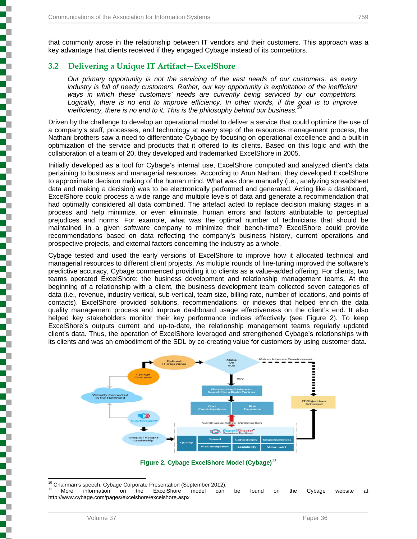that commonly arose in the relationship between IT vendors and their customers. This approach was a key advantage that clients received if they engaged Cybage instead of its competitors.

#### **3.2 Delivering a Unique IT Artifact—ExcelShore**

*Our primary opportunity is not the servicing of the vast needs of our customers, as every industry is full of needy customers. Rather, our key opportunity is exploitation of the inefficient ways in which these customers' needs are currently being serviced by our competitors. Logically, there is no end to improve efficiency. In other words, if the goal is to improve*  inefficiency, there is no end to it. This is the philosophy behind our business.<sup>1</sup>

Driven by the challenge to develop an operational model to deliver a service that could optimize the use of a company's staff, processes, and technology at every step of the resources management process, the Nathani brothers saw a need to differentiate Cybage by focusing on operational excellence and a built-in optimization of the service and products that it offered to its clients. Based on this logic and with the collaboration of a team of 20, they developed and trademarked ExcelShore in 2005.

Initially developed as a tool for Cybage's internal use, ExcelShore computed and analyzed client's data pertaining to business and managerial resources. According to Arun Nathani, they developed ExcelShore to approximate decision making of the human mind. What was done manually (i.e., analyzing spreadsheet data and making a decision) was to be electronically performed and generated. Acting like a dashboard, ExcelShore could process a wide range and multiple levels of data and generate a recommendation that had optimally considered all data combined. The artefact acted to replace decision making stages in a process and help minimize, or even eliminate, human errors and factors attributable to perceptual prejudices and norms. For example, what was the optimal number of technicians that should be maintained in a given software company to minimize their bench-time? ExcelShore could provide recommendations based on data reflecting the company's business history, current operations and prospective projects, and external factors concerning the industry as a whole.

Cybage tested and used the early versions of ExcelShore to improve how it allocated technical and managerial resources to different client projects. As multiple rounds of fine-tuning improved the software's predictive accuracy, Cybage commenced providing it to clients as a value-added offering. For clients, two teams operated ExcelShore: the business development and relationship management teams. At the beginning of a relationship with a client, the business development team collected seven categories of data (i.e., revenue, industry vertical, sub-vertical, team size, billing rate, number of locations, and points of contacts). ExcelShore provided solutions, recommendations, or indexes that helped enrich the data quality management process and improve dashboard usage effectiveness on the client's end. It also helped key stakeholders monitor their key performance indices effectively (see Figure 2). To keep ExcelShore's outputs current and up-to-date, the relationship management teams regularly updated client's data. Thus, the operation of ExcelShore leveraged and strengthened Cybage's relationships with its clients and was an embodiment of the SDL by co-creating value for customers by using customer data.



**Figure 2. Cybage ExcelShore Model (Cybage)11**

l

<sup>&</sup>lt;sup>10</sup> Chairman's speech, Cybage Corporate Presentation (September 2012).<br><sup>11</sup> More information on the ExcelShore model can be found on the Cybage website at http://www.cybage.com/pages/excelshore/excelshore.aspx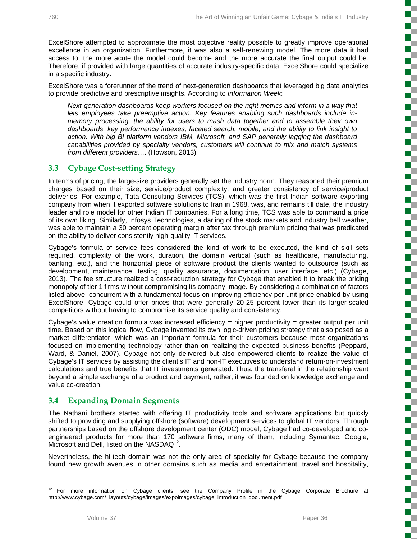Ş

į

Š

Š

į

c

į

į

ExcelShore attempted to approximate the most objective reality possible to greatly improve operational excellence in an organization. Furthermore, it was also a self-renewing model. The more data it had access to, the more acute the model could become and the more accurate the final output could be. Therefore, if provided with large quantities of accurate industry-specific data, ExcelShore could specialize in a specific industry.

ExcelShore was a forerunner of the trend of next-generation dashboards that leveraged big data analytics to provide predictive and prescriptive insights. According to *Information Week*:

*Next-generation dashboards keep workers focused on the right metrics and inform in a way that lets employees take preemptive action. Key features enabling such dashboards include inmemory processing, the ability for users to mash data together and to assemble their own dashboards, key performance indexes, faceted search, mobile, and the ability to link insight to action. With big BI platform vendors IBM, Microsoft, and SAP generally lagging the dashboard capabilities provided by specialty vendors, customers will continue to mix and match systems from different providers*…. (Howson, 2013)

## **3.3 Cybage Cost-setting Strategy**

In terms of pricing, the large-size providers generally set the industry norm. They reasoned their premium charges based on their size, service/product complexity, and greater consistency of service/product deliveries. For example, Tata Consulting Services (TCS), which was the first Indian software exporting company from when it exported software solutions to Iran in 1968, was, and remains till date, the industry leader and role model for other Indian IT companies. For a long time, TCS was able to command a price of its own liking. Similarly, Infosys Technologies, a darling of the stock markets and industry bell weather, was able to maintain a 30 percent operating margin after tax through premium pricing that was predicated on the ability to deliver consistently high-quality IT services.

Cybage's formula of service fees considered the kind of work to be executed, the kind of skill sets required, complexity of the work, duration, the domain vertical (such as healthcare, manufacturing, banking, etc.), and the horizontal piece of software product the clients wanted to outsource (such as development, maintenance, testing, quality assurance, documentation, user interface, etc.) (Cybage, 2013). The fee structure realized a cost-reduction strategy for Cybage that enabled it to break the pricing monopoly of tier 1 firms without compromising its company image. By considering a combination of factors listed above, concurrent with a fundamental focus on improving efficiency per unit price enabled by using ExcelShore, Cybage could offer prices that were generally 20-25 percent lower than its larger-scaled competitors without having to compromise its service quality and consistency.

Cybage's value creation formula was increased efficiency  $=$  higher productivity  $=$  greater output per unit time. Based on this logical flow, Cybage invented its own logic-driven pricing strategy that also posed as a market differentiator, which was an important formula for their customers because most organizations focused on implementing technology rather than on realizing the expected business benefits (Peppard, Ward, & Daniel, 2007). Cybage not only delivered but also empowered clients to realize the value of Cybage's IT services by assisting the client's IT and non-IT executives to understand return-on-investment calculations and true benefits that IT investments generated. Thus, the transferal in the relationship went beyond a simple exchange of a product and payment; rather, it was founded on knowledge exchange and value co-creation.

### **3.4 Expanding Domain Segments**

The Nathani brothers started with offering IT productivity tools and software applications but quickly shifted to providing and supplying offshore (software) development services to global IT vendors. Through partnerships based on the offshore development center (ODC) model, Cybage had co-developed and coengineered products for more than 170 software firms, many of them, including Symantec, Google, Microsoft and Dell, listed on the NASDA $Q^{12}$ .

Nevertheless, the hi-tech domain was not the only area of specialty for Cybage because the company found new growth avenues in other domains such as media and entertainment, travel and hospitality,

 $12<sup>12</sup>$ 12 For more information on Cybage clients, see the Company Profile in the Cybage Corporate Brochure at http://www.cybage.com/\_layouts/cybage/images/expoimages/cybage\_introduction\_document.pdf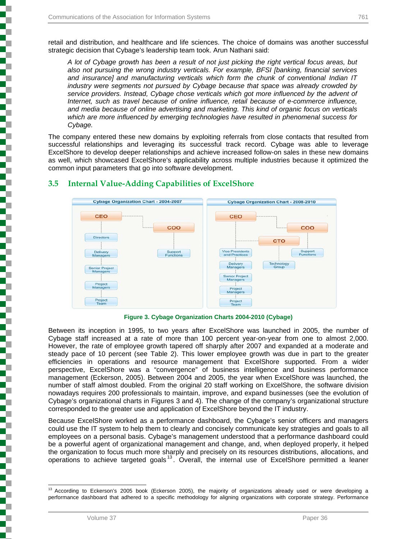retail and distribution, and healthcare and life sciences. The choice of domains was another successful strategic decision that Cybage's leadership team took. Arun Nathani said:

*A lot of Cybage growth has been a result of not just picking the right vertical focus areas, but also not pursuing the wrong industry verticals. For example, BFSI [banking, financial services and insurance] and manufacturing verticals which form the chunk of conventional Indian IT industry were segments not pursued by Cybage because that space was already crowded by*  service providers. Instead, Cybage chose verticals which got more influenced by the advent of *Internet, such as travel because of online influence, retail because of e-commerce influence, and media because of online advertising and marketing. This kind of organic focus on verticals which are more influenced by emerging technologies have resulted in phenomenal success for Cybage.* 

The company entered these new domains by exploiting referrals from close contacts that resulted from successful relationships and leveraging its successful track record. Cybage was able to leverage ExcelShore to develop deeper relationships and achieve increased follow-on sales in these new domains as well, which showcased ExcelShore's applicability across multiple industries because it optimized the common input parameters that go into software development.



## **3.5 Internal Value-Adding Capabilities of ExcelShore**

**Figure 3. Cybage Organization Charts 2004-2010 (Cybage)** 

Between its inception in 1995, to two years after ExcelShore was launched in 2005, the number of Cybage staff increased at a rate of more than 100 percent year-on-year from one to almost 2,000. However, the rate of employee growth tapered off sharply after 2007 and expanded at a moderate and steady pace of 10 percent (see Table 2). This lower employee growth was due in part to the greater efficiencies in operations and resource management that ExcelShore supported. From a wider perspective, ExcelShore was a "convergence" of business intelligence and business performance management (Eckerson, 2005). Between 2004 and 2005, the year when ExcelShore was launched, the number of staff almost doubled. From the original 20 staff working on ExcelShore, the software division nowadays requires 200 professionals to maintain, improve, and expand businesses (see the evolution of Cybage's organizational charts in Figures 3 and 4). The change of the company's organizational structure corresponded to the greater use and application of ExcelShore beyond the IT industry.

Because ExcelShore worked as a performance dashboard, the Cybage's senior officers and managers could use the IT system to help them to clearly and concisely communicate key strategies and goals to all employees on a personal basis. Cybage's management understood that a performance dashboard could be a powerful agent of organizational management and change, and, when deployed properly, it helped the organization to focus much more sharply and precisely on its resources distributions, allocations, and operations to achieve targeted goals<sup>13</sup>. Overall, the internal use of ExcelShore permitted a leaner

<sup>13</sup> 13 According to Eckerson's 2005 book (Eckerson 2005), the majority of organizations already used or were developing a performance dashboard that adhered to a specific methodology for aligning organizations with corporate strategy. Performance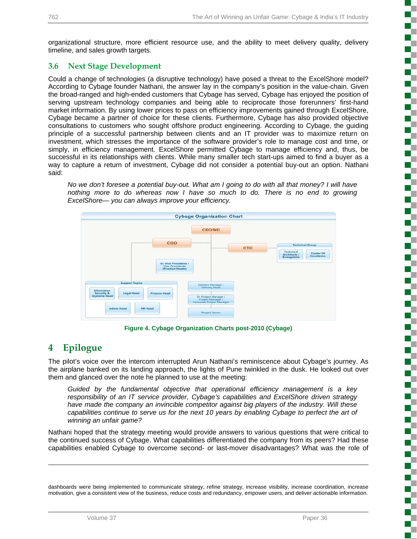organizational structure, more efficient resource use, and the ability to meet delivery quality, delivery timeline, and sales growth targets.

#### **3.6 Next Stage Development**

Could a change of technologies (a disruptive technology) have posed a threat to the ExcelShore model? According to Cybage founder Nathani, the answer lay in the company's position in the value-chain. Given the broad-ranged and high-ended customers that Cybage has served, Cybage has enjoyed the position of serving upstream technology companies and being able to reciprocate those forerunners' first-hand market information. By using lower prices to pass on efficiency improvements gained through ExcelShore, Cybage became a partner of choice for these clients. Furthermore, Cybage has also provided objective consultations to customers who sought offshore product engineering. According to Cybage, the guiding principle of a successful partnership between clients and an IT provider was to maximize return on investment, which stresses the importance of the software provider's role to manage cost and time, or simply, in efficiency management. ExcelShore permitted Cybage to manage efficiency and, thus, be successful in its relationships with clients. While many smaller tech start-ups aimed to find a buyer as a way to capture a return of investment, Cybage did not consider a potential buy-out an option. Nathani said:

*No we don't foresee a potential buy-out. What am I going to do with all that money? I will have nothing more to do whereas now I have so much to do. There is no end to growing ExcelShore— you can always improve your efficiency.* 



**Figure 4. Cybage Organization Charts post-2010 (Cybage)** 

# **4 Epilogue**

l

The pilot's voice over the intercom interrupted Arun Nathani's reminiscence about Cybage's journey. As the airplane banked on its landing approach, the lights of Pune twinkled in the dusk. He looked out over them and glanced over the note he planned to use at the meeting:

*Guided by the fundamental objective that operational efficiency management is a key responsibility of an IT service provider, Cybage's capabilities and ExcelShore driven strategy have made the company an invincible competitor against big players of the industry. Will these capabilities continue to serve us for the next 10 years by enabling Cybage to perfect the art of winning an unfair game?* 

Nathani hoped that the strategy meeting would provide answers to various questions that were critical to the continued success of Cybage. What capabilities differentiated the company from its peers? Had these capabilities enabled Cybage to overcome second- or last-mover disadvantages? What was the role of

dashboards were being implemented to communicate strategy, refine strategy, increase visibility, increase coordination, increase motivation, give a consistent view of the business, reduce costs and redundancy, empower users, and deliver actionable information.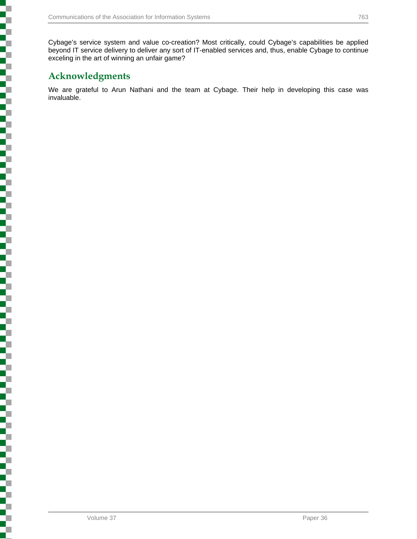Cybage's service system and value co-creation? Most critically, could Cybage's capabilities be applied beyond IT service delivery to deliver any sort of IT-enabled services and, thus, enable Cybage to continue exceling in the art of winning an unfair game?

# **Acknowledgments**

٦

**Contract Contract Contract Contract** 

į

į

i

We are grateful to Arun Nathani and the team at Cybage. Their help in developing this case was invaluable.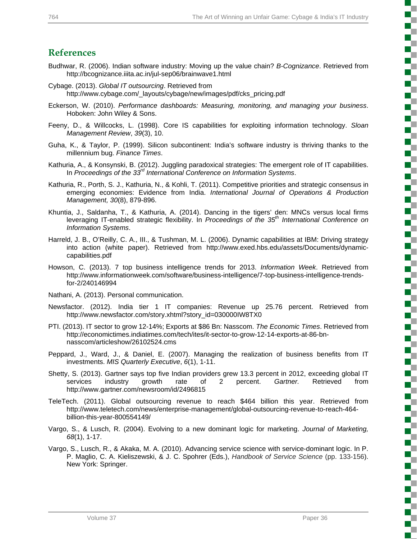Ş

F

į

Š

ĺ

į

Ś

## **References**

- Budhwar, R. (2006). Indian software industry: Moving up the value chain? *B-Cognizance*. Retrieved from http://bcognizance.iiita.ac.in/jul-sep06/brainwave1.html
- Cybage. (2013). *Global IT outsourcing*. Retrieved from http://www.cybage.com/\_layouts/cybage/new/images/pdf/cks\_pricing.pdf
- Eckerson, W. (2010). *Performance dashboards: Measuring, monitoring, and managing your business*. Hoboken: John Wiley & Sons.
- Feeny, D., & Willcocks, L. (1998). Core IS capabilities for exploiting information technology. *Sloan Management Review*, *39*(3), 10.
- Guha, K., & Taylor, P. (1999). Silicon subcontinent: India's software industry is thriving thanks to the millennium bug. *Finance Times*.
- Kathuria, A., & Konsynski, B. (2012). Juggling paradoxical strategies: The emergent role of IT capabilities. In *Proceedings of the 33rd International Conference on Information Systems*.
- Kathuria, R., Porth, S. J., Kathuria, N., & Kohli, T. (2011). Competitive priorities and strategic consensus in emerging economies: Evidence from India. *International Journal of Operations & Production Management, 30*(8), 879-896.
- Khuntia, J., Saldanha, T., & Kathuria, A. (2014). Dancing in the tigers' den: MNCs versus local firms leveraging IT-enabled strategic flexibility. In *Proceedings of the 35<sup>th</sup> International Conference on Information Systems*.
- Harreld, J. B., O'Reilly, C. A., III., & Tushman, M. L. (2006). Dynamic capabilities at IBM: Driving strategy into action (white paper). Retrieved from http://www.exed.hbs.edu/assets/Documents/dynamiccapabilities.pdf
- Howson, C. (2013). 7 top business intelligence trends for 2013. *Information Week*. Retrieved from http://www.informationweek.com/software/business-intelligence/7-top-business-intelligence-trendsfor-2/240146994
- Nathani, A. (2013). Personal communication.
- Newsfactor. (2012). India tier 1 IT companies: Revenue up 25.76 percent. Retrieved from http://www.newsfactor.com/story.xhtml?story\_id=030000IW8TX0
- PTI. (2013). IT sector to grow 12-14%; Exports at \$86 Bn: Nasscom. *The Economic Times*. Retrieved from http://economictimes.indiatimes.com/tech/ites/it-sector-to-grow-12-14-exports-at-86-bnnasscom/articleshow/26102524.cms
- Peppard, J., Ward, J., & Daniel, E. (2007). Managing the realization of business benefits from IT investments. *MIS Quarterly Executive*, *6*(1), 1-11.
- Shetty, S. (2013). Gartner says top five Indian providers grew 13.3 percent in 2012, exceeding global IT services industry growth rate of 2 percent. *Gartner.* Retrieved from http://www.gartner.com/newsroom/id/2496815
- TeleTech. (2011). Global outsourcing revenue to reach \$464 billion this year. Retrieved from http://www.teletech.com/news/enterprise-management/global-outsourcing-revenue-to-reach-464 billion-this-year-800554149/
- Vargo, S., & Lusch, R. (2004). Evolving to a new dominant logic for marketing. *Journal of Marketing, 68*(1), 1-17.
- Vargo, S., Lusch, R., & Akaka, M. A. (2010). Advancing service science with service-dominant logic. In P. P. Maglio, C. A. Kieliszewski, & J. C. Spohrer (Eds.), *Handbook of Service Science* (pp. 133-156). New York: Springer.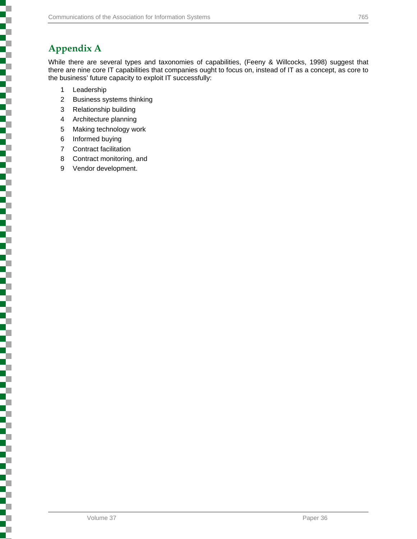# **Appendix A**

**Contractor** 

į

┋

į

₿

į

5

j

₿

Ş J,

ì

While there are several types and taxonomies of capabilities, (Feeny & Willcocks, 1998) suggest that there are nine core IT capabilities that companies ought to focus on, instead of IT as a concept, as core to the business' future capacity to exploit IT successfully:

- 1 Leadership
- 2 Business systems thinking
- 3 Relationship building
- 4 Architecture planning
- 5 Making technology work
- 6 Informed buying
- 7 Contract facilitation
- 8 Contract monitoring, and
- 9 Vendor development.